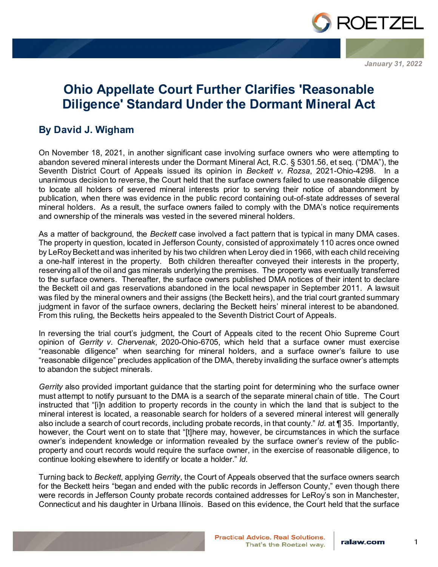

*January 31, 2022*

## **Ohio Appellate Court Further Clarifies 'Reasonable Diligence' Standard Under the Dormant Mineral Act**

## **By David J. Wigham**

On November 18, 2021, in another significant case involving surface owners who were attempting to abandon severed mineral interests under the Dormant Mineral Act, R.C. § 5301.56, et seq. ("DMA"), the Seventh District Court of Appeals issued its opinion in *Beckett v. Rozsa*, 2021-Ohio-4298. In a unanimous decision to reverse, the Court held that the surface owners failed to use reasonable diligence to locate all holders of severed mineral interests prior to serving their notice of abandonment by publication, when there was evidence in the public record containing out-of-state addresses of several mineral holders. As a result, the surface owners failed to comply with the DMA's notice requirements and ownership of the minerals was vested in the severed mineral holders.

As a matter of background, the *Beckett* case involved a fact pattern that is typical in many DMA cases. The property in question, located in Jefferson County, consisted of approximately 110 acres once owned by LeRoy Beckett and was inherited by his two children when Leroy died in 1966, with each child receiving a one-half interest in the property. Both children thereafter conveyed their interests in the property, reserving all of the oil and gas minerals underlying the premises. The property was eventually transferred to the surface owners. Thereafter, the surface owners published DMA notices of their intent to declare the Beckett oil and gas reservations abandoned in the local newspaper in September 2011. A lawsuit was filed by the mineral owners and their assigns (the Beckett heirs), and the trial court granted summary judgment in favor of the surface owners, declaring the Beckett heirs' mineral interest to be abandoned. From this ruling, the Becketts heirs appealed to the Seventh District Court of Appeals.

In reversing the trial court's judgment, the Court of Appeals cited to the recent Ohio Supreme Court opinion of *Gerrity v. Chervenak*, 2020-Ohio-6705, which held that a surface owner must exercise "reasonable diligence" when searching for mineral holders, and a surface owner's failure to use "reasonable diligence" precludes application of the DMA, thereby invaliding the surface owner's attempts to abandon the subject minerals.

*Gerrity* also provided important guidance that the starting point for determining who the surface owner must attempt to notify pursuant to the DMA is a search of the separate mineral chain of title. The Court instructed that "[i]n addition to property records in the county in which the land that is subject to the mineral interest is located, a reasonable search for holders of a severed mineral interest will generally also include a search of court records, including probate records, in that county." *Id.* at ¶ 35. Importantly, however, the Court went on to state that "[t]here may, however, be circumstances in which the surface owner's independent knowledge or information revealed by the surface owner's review of the publicproperty and court records would require the surface owner, in the exercise of reasonable diligence, to continue looking elsewhere to identify or locate a holder." *Id.*

Turning back to *Beckett*, applying *Gerrity*, the Court of Appeals observed that the surface owners search for the Beckett heirs "began and ended with the public records in Jefferson County," even though there were records in Jefferson County probate records contained addresses for LeRoy's son in Manchester, Connecticut and his daughter in Urbana Illinois. Based on this evidence, the Court held that the surface